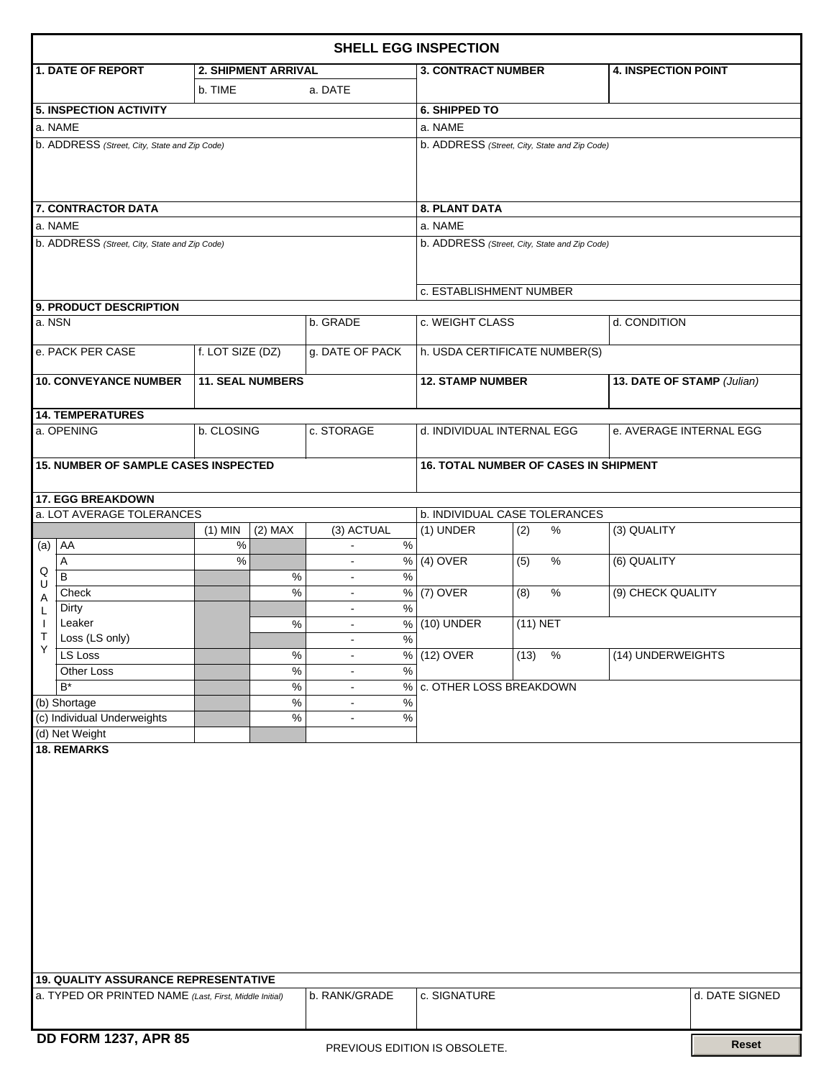| <b>SHELL EGG INSPECTION</b>                                                             |                                                                   |                  |                                  |                                  |                                               |                                               |              |  |                            |                |  |  |  |
|-----------------------------------------------------------------------------------------|-------------------------------------------------------------------|------------------|----------------------------------|----------------------------------|-----------------------------------------------|-----------------------------------------------|--------------|--|----------------------------|----------------|--|--|--|
|                                                                                         | 1. DATE OF REPORT                                                 |                  | <b>2. SHIPMENT ARRIVAL</b>       |                                  |                                               | <b>3. CONTRACT NUMBER</b>                     |              |  | <b>4. INSPECTION POINT</b> |                |  |  |  |
|                                                                                         |                                                                   | b. TIME          |                                  | a. DATE                          |                                               |                                               |              |  |                            |                |  |  |  |
|                                                                                         | 5. INSPECTION ACTIVITY                                            |                  |                                  |                                  |                                               | <b>6. SHIPPED TO</b>                          |              |  |                            |                |  |  |  |
|                                                                                         | a. NAME                                                           |                  |                                  |                                  |                                               | a. NAME                                       |              |  |                            |                |  |  |  |
|                                                                                         | b. ADDRESS (Street, City, State and Zip Code)                     |                  |                                  |                                  | b. ADDRESS (Street, City, State and Zip Code) |                                               |              |  |                            |                |  |  |  |
|                                                                                         |                                                                   |                  |                                  |                                  |                                               |                                               |              |  |                            |                |  |  |  |
|                                                                                         | 7. CONTRACTOR DATA                                                |                  |                                  |                                  | <b>8. PLANT DATA</b>                          |                                               |              |  |                            |                |  |  |  |
|                                                                                         | a. NAME                                                           |                  |                                  |                                  |                                               | a. NAME                                       |              |  |                            |                |  |  |  |
|                                                                                         | b. ADDRESS (Street, City, State and Zip Code)                     |                  |                                  |                                  |                                               | b. ADDRESS (Street, City, State and Zip Code) |              |  |                            |                |  |  |  |
|                                                                                         |                                                                   |                  |                                  |                                  |                                               | c. ESTABLISHMENT NUMBER                       |              |  |                            |                |  |  |  |
| la. NSN                                                                                 | 9. PRODUCT DESCRIPTION                                            |                  |                                  |                                  |                                               | d. CONDITION<br>c. WEIGHT CLASS               |              |  |                            |                |  |  |  |
|                                                                                         |                                                                   |                  |                                  | b. GRADE                         |                                               |                                               |              |  |                            |                |  |  |  |
|                                                                                         | e. PACK PER CASE                                                  | f. LOT SIZE (DZ) |                                  | g. DATE OF PACK                  |                                               | h. USDA CERTIFICATE NUMBER(S)                 |              |  |                            |                |  |  |  |
| <b>10. CONVEYANCE NUMBER</b><br><b>11. SEAL NUMBERS</b>                                 |                                                                   |                  |                                  |                                  |                                               | <b>12. STAMP NUMBER</b>                       |              |  | 13. DATE OF STAMP (Julian) |                |  |  |  |
|                                                                                         | 14. TEMPERATURES                                                  |                  |                                  |                                  |                                               |                                               |              |  |                            |                |  |  |  |
|                                                                                         | a. OPENING                                                        | b. CLOSING       |                                  | c. STORAGE                       |                                               | d. INDIVIDUAL INTERNAL EGG                    |              |  | e. AVERAGE INTERNAL EGG    |                |  |  |  |
|                                                                                         | <b>15. NUMBER OF SAMPLE CASES INSPECTED</b>                       |                  |                                  |                                  |                                               | <b>16. TOTAL NUMBER OF CASES IN SHIPMENT</b>  |              |  |                            |                |  |  |  |
|                                                                                         | 17. EGG BREAKDOWN                                                 |                  |                                  |                                  |                                               |                                               |              |  |                            |                |  |  |  |
|                                                                                         | a. LOT AVERAGE TOLERANCES                                         |                  |                                  |                                  |                                               | <b>b. INDIVIDUAL CASE TOLERANCES</b>          |              |  |                            |                |  |  |  |
|                                                                                         |                                                                   | $(1)$ MIN        | $(2)$ MAX                        | (3) ACTUAL                       |                                               | $(1)$ UNDER                                   | (2)<br>%     |  | (3) QUALITY                |                |  |  |  |
|                                                                                         | (a)   AA                                                          | $\%$             |                                  |                                  | $\%$                                          |                                               |              |  |                            |                |  |  |  |
| Q                                                                                       | Α<br>$\overline{B}$                                               | $\%$             | $\%$                             | $\blacksquare$<br>$\blacksquare$ | $\%$<br>$\%$                                  | $\sqrt{(4)}$ OVER                             | $\%$<br>(5)  |  | (6) QUALITY                |                |  |  |  |
| U                                                                                       | Check                                                             |                  | $\overline{\frac{9}{6}}$         | $\blacksquare$                   | $\%$                                          | $(7)$ OVER                                    | $\%$<br>(8)  |  | (9) CHECK QUALITY          |                |  |  |  |
| Α<br>L                                                                                  | Dirty                                                             |                  |                                  | $\blacksquare$                   | $\frac{9}{6}$                                 |                                               |              |  |                            |                |  |  |  |
| $\mathbf{I}$                                                                            | Leaker                                                            |                  | %                                | $\blacksquare$                   |                                               | % (10) UNDER                                  | $(11)$ NET   |  |                            |                |  |  |  |
| Т<br>Y                                                                                  | Loss (LS only)                                                    |                  |                                  |                                  | $\frac{9}{6}$                                 |                                               |              |  |                            |                |  |  |  |
|                                                                                         | LS Loss                                                           |                  | $\%$                             | $\blacksquare$                   | %                                             | $(12)$ OVER                                   | $\%$<br>(13) |  | (14) UNDERWEIGHTS          |                |  |  |  |
|                                                                                         | Other Loss<br>$\mathsf{B}^{\star}$                                |                  | $\overline{\frac{9}{6}}$<br>$\%$ | $\blacksquare$                   | $\frac{1}{2}$<br>$\%$                         | c. OTHER LOSS BREAKDOWN                       |              |  |                            |                |  |  |  |
| (b) Shortage                                                                            |                                                                   |                  |                                  | $\blacksquare$<br>$\blacksquare$ | $\%$                                          |                                               |              |  |                            |                |  |  |  |
|                                                                                         | (c) Individual Underweights                                       |                  | $\%$<br>$\%$                     | $\blacksquare$                   | $\%$                                          |                                               |              |  |                            |                |  |  |  |
|                                                                                         | (d) Net Weight                                                    |                  |                                  |                                  |                                               |                                               |              |  |                            |                |  |  |  |
|                                                                                         | <b>18. REMARKS</b><br><b>19. QUALITY ASSURANCE REPRESENTATIVE</b> |                  |                                  |                                  |                                               |                                               |              |  |                            |                |  |  |  |
| a. TYPED OR PRINTED NAME (Last, First, Middle Initial)<br>b. RANK/GRADE<br>c. SIGNATURE |                                                                   |                  |                                  |                                  |                                               |                                               |              |  |                            | d. DATE SIGNED |  |  |  |
|                                                                                         |                                                                   |                  |                                  |                                  |                                               |                                               |              |  |                            |                |  |  |  |